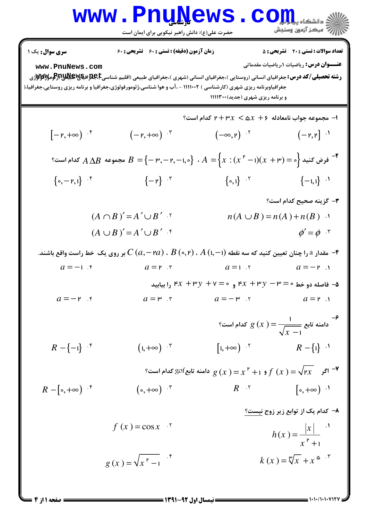## **www.PnuNews.com** ے<br>ا*ل*اد مرکز آزمون وسنجش

حضرت علی(ع): دانش راهبر نیکویی برای ایمان است

**تعداد سوالات : تستی : 20 - تشریحی : 5** سری سوال : یک ۱ زمان آزمون (دقيقه) : تستى ; ۶۰ ٪ تشريحي ; ۶۰ **عنــوان درس:** ریاضیات ۰٫ریاضیات مقدماتی www.PnuNews.com جغرافیاوبرنامه ریزی شهری (کارشناسی ) ۱۱۱۱۰۰۲ - ،آب و هوا شناسی،ژئومورفولوژی،جغرافیا و برنامه ریزی روستایی،جغرافیا،( و برنامه ریزی شهری (جدید) ۱۱۱۱۳۰۰ - مجموعه جواب نامعادله ۶ +  $x < \Delta x$  + ۲ كدام است؟  $(-r, +\infty)$   $\cdot$  $[-r,+\infty)$  f  $(-\infty, \mathsf{r})$  .  $(-P,P)$   $($ \*- فرض كنيد  $A\Delta B$  حدام است؟  $A=\big\{x:(x\ ^{\ \nu}-1)(x\ +\mathbb{P})=A\ \text{as}\ A\Delta B$  مجموعه  $A\Delta B$  كدام است $A$  $\{ \circ, I \}$  if  $\{-1, 1\}$   $^{-1}$  $\{o, -r, 1\}$  f  $\{-\mu\}$  . ٣- گزينه صحيح كدام است؟  $(A \cap B)' = A' \cup B'$ .  $n(A \cup B) = n(A) + n(B)$  .  $(A \cup B)' = A' \cup B'$  f  $\phi' = \phi$  . - هقدار  $a$  را چنان تعیین کنید که سه نقطه  $\,C\,(a,-$ ۲ $\,R\,(\circ,\mathsf{P})\,$  ،  $\,B\,(\circ,\mathsf{P})\,$  بر روی یک خط راست واقع باشند.  $\,$  $a=-1$   $\cdot$  $a = r$ .  $r$  $a=1.5$  $a = -r$ . - فاصله دو خط ۰ = ۳ - ۳ - ۴x و ۰ = ۴x و ۰ = ۳x و ۱٫ ۴x و ۱٫ ۴x و ۱٫ بیابید  $a = r$  .  $a = -r$  f  $a = -\mu$  .  $a = r$ .  $\left[1,+\infty\right)$  '  $R - \{-1\}$   $\cdot$ <sup>\*</sup>  $(1, +\infty)$  .  $R - \{1\}$ <sup>1</sup> و ۱ $f(x)=x^{\mathfrak{p}}+g$  دامنه تابع $g(x)=\sqrt{\mathfrak{p} x}$  کدام است؟  $f\left(x\right)=\sqrt{\mathfrak{p} x}$  $R - [\circ, +\infty)$  if  $(\circ, +\infty)$   $\cdot^{\mathsf{r}}$  $R$   $\cdot$   $\cdot$  $\lceil \circ, +\infty \rceil$  . ۸− کدام یک از توابع زیر زوج نیست؟  $h(x) = \frac{|x|}{x^{\frac{p}{2}}+1}$  $f(x) = \cos x$  $g(x) = \sqrt{x^2 - 1}$  $k(x) = \sqrt[12]{x} + x^{\omega}$ 

 $= 1.1.11.1.111YY$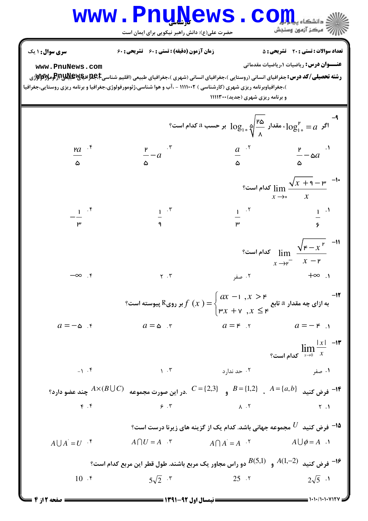## WWW.PnuNews.com رے<br>پ<sup>ر</sup> مرکز آزمون وسنجش

حضرت علی(ع): دانش راهبر نیکویی برای ایمان است

**سری سوال :** ۱ یک **تعداد سوالات : تستي : 20 ٪ تشريحي : 5** زمان آزمون (دقیقه) : تستی : ۶۰٪ تشریحی : ۶۰ **عنـــوان درس:** ریاضیات ۱،ریاضیات مقدماتی www.PnuNews.com )،جغرافیاوبرنامه ریزی شهری (کارشناسی ) ۱۱۱۰۰۲ - ،آب و هوا شناسی،ژئومورفولوژی،جغرافیا و برنامه ریزی روستایی،جغرافیا و برنامه ریزی شهری (جدید) ۱۱۱۱۳۰۰ <sup>9-</sup><br>اگر  $\log_{10}^{\mathfrak{p}}=1$ ، مقدار  $\log_{10}^{\mathfrak{p}}\bigoplus_{\lambda=0}^{\mathfrak{p}}$  بر حسب  $a$  کدام است؟  $\frac{P}{A} - a$  $\frac{a}{a}$ .<sup>r</sup>  $\mathbf{a}$ <sup>+</sup>  $\frac{P}{A} - \omega a$ <sup>.1</sup>  $\lim_{x \to \infty} \frac{\sqrt{x+q} - \mu}{x}$  کدام است؟  $\frac{1}{2}$   $\cdot$   $\cdot$  $\frac{1}{2}$   $\cdot$   $\cdot$  $1$   $\cdot$   $\circ$  $\frac{1}{2}$   $\frac{1}{2}$ s الست $\lim_{x \to r^-} \frac{\sqrt{r-x^{\nu}}}{x-r}$  است $\frac{1}{x-r}$ ۰۲ صفر  $\mathsf{R}$ .  $\infty$ ۴. ∞–  $Y \cdot Y$ -<br>به ازای چه مقدار  $a$  تابع  $f(x)=\begin{cases} ax-1\,, x>$ ۳ بر روی $R$  پیوسته است؟  $f(x)=\begin{cases} \n\text{tr}\, x+\text{v}\, \,, x\leq \text{\sf F} \end{cases}$  $-17$  $a=-\infty$ .  $a=-\kappa$ .  $a = \omega$   $\tau$  $a = r$   $\gamma$  $\lim_{x\to 0} \frac{|x|}{x}$ الست؟  $-1.5$  $\mathcal{N}$ .  $\mathcal{R}$ ۰۲ حد ندارد ۰۱ صفر - فرض كنيد  $A = \{a, b\}$  ,  $B = \{1, 2\}$  و  $C = \{2, 3\}$  .در اين صورت مجموعه  $A \times (B \cup C)$  چند عضو دارد  $\bullet$  $\mathfrak{r}$ . $\mathfrak{r}$  $9.7$  $\Lambda$  .  $\Upsilon$  $Y \cdot 1$ ا فرض کنید  $U$  مجموعه جهانی باشد. کدام یک از گزینه های زیرنا درست است؟ $^+$  $A \bigcap A^{\dagger} = A$   $A^{\dagger}$   $A \bigcup \phi = A$   $A$  $A \cup A^{\dagger} = U^{\dagger}$  $A \bigcap U = A$  . دو راس مجاور یک مربع باشند. طول قطر این مربع کدام است؟  $A(1,-2)$  هر ض کدام است  $^{-18}$  $5\sqrt{2}$   $\cdot$   $\cdot$  $10.5$  $25.7$  $2\sqrt{5}$  .  $= 1.1.71.1.1.117V$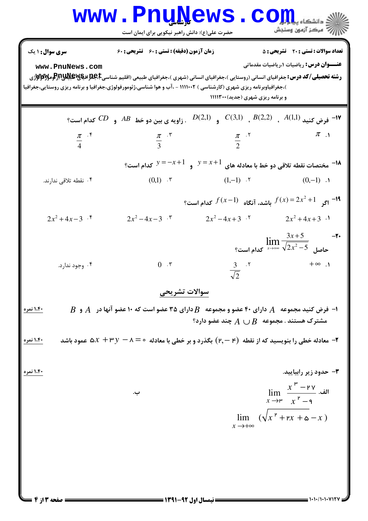| <b>سری سوال :</b> ۱ یک<br>www.PnuNews.com | زمان آزمون (دقیقه) : تستی : 60 ٪ تشریحی : 60<br><b>رشته تحصیلی/کد درس:</b> جغرافیای انسانی (روستایی )،جغرافیای انسانی (شهری )،جغرافیای طبیعی (اقلیم شناسیRAU اف <b>یایا) (Pبراومولالاولا</b> ژی<br>)،جغرافیاوبرنامه ریزی شهری (کارشناسی ) ۱۱۱۱۰۰۲ - ،آب و هوا شناسی،ژئومورفولوژی،جغرافیا و برنامه ریزی روستایی،جغرافیا | و برنامه ریزی شهری (جدید)1۱۱۱۳۰۰                                                      | <b>تعداد سوالات : تستی : 20 قشریحی : 5</b><br><b>عنـــوان درس:</b> ریاضیات ۱،ریاضیات مقدماتی              |
|-------------------------------------------|------------------------------------------------------------------------------------------------------------------------------------------------------------------------------------------------------------------------------------------------------------------------------------------------------------------------|---------------------------------------------------------------------------------------|-----------------------------------------------------------------------------------------------------------|
|                                           |                                                                                                                                                                                                                                                                                                                        | $D(2,1)$ (C(3,1) $B(2,2)$ , $A(1,1)$ (e) $\rightarrow$ $\blacksquare$                 |                                                                                                           |
| $\frac{\pi}{4}$ . F                       | $rac{\pi}{3}$ . T                                                                                                                                                                                                                                                                                                      | $rac{\pi}{2}$ . T                                                                     | $\pi$ .                                                                                                   |
|                                           |                                                                                                                                                                                                                                                                                                                        | $y=-x+1$ مختصات نقطه تلاقی دو خط با معادله های $y=x+1$ و $y=-x+1$ کدام است $\epsilon$ |                                                                                                           |
| ۰۴ نقطه تلاقی ندارند.                     |                                                                                                                                                                                                                                                                                                                        | $(0,1)$ . $\mathbf{r}$ (1,-1) . $\mathbf{r}$                                          | $(0,-1)$ .                                                                                                |
|                                           |                                                                                                                                                                                                                                                                                                                        | ا ا $f(x-1)$ باشد، آنگاه $f(x) = 2x^2 + 1$ کدام است؟                                  |                                                                                                           |
| $2x^2+4x-3$ .                             | $2x^2-4x-3$ .                                                                                                                                                                                                                                                                                                          | $2x^2-4x+3$ $\cdot$ $2x^2+4x+3$ $\cdot$ 1                                             |                                                                                                           |
|                                           |                                                                                                                                                                                                                                                                                                                        |                                                                                       | $\lim_{x \to +\infty} \frac{3x+5}{\sqrt{2x^2-5}}$ کدام است؟                                               |
| ۰۴ وجود ندارد.                            | $0 \cdot \tau$                                                                                                                                                                                                                                                                                                         | $rac{3}{\sqrt{2}}$ . T                                                                | $+ \infty$ .                                                                                              |
|                                           | سوالات تشريحي                                                                                                                                                                                                                                                                                                          |                                                                                       |                                                                                                           |
| <u>۱،۴۰ نمره</u>                          | $\,$ ا- فرض کنید مجموعه $\,$ ۸ دارای ۴۰ عضو و مجموعه $\, B \,$ دارای ۳۵ عضو است که ۱۰ عضو آنها در $\,$ و $\,$                                                                                                                                                                                                          | شترک هستند . مجموعه $B\ \cup B$ چند عضو دارد؟                                         |                                                                                                           |
| ۱.۴۰ نمره <mark> </mark>                  | ه هادله خطی را بنویسید که از نقطه $(\mathsf{r},\mathsf{-} \mathsf{r})$ بگذرد و بر خطی با معادله $\mathsf{v} = \mathsf{r} = \mathsf{a}$ عمود باشد $\mathsf{r}$                                                                                                                                                          |                                                                                       |                                                                                                           |
| ۱،۴۰ نمره                                 |                                                                                                                                                                                                                                                                                                                        |                                                                                       | ۳– حدود زیر رابیایید.                                                                                     |
|                                           | ب.                                                                                                                                                                                                                                                                                                                     |                                                                                       | $\lim \frac{x^{\frac{\mu}{}}-y\gamma}{\pi}$ .<br>$x \rightarrow^{\mathsf{p}} x^{\mathsf{p}} - \mathsf{q}$ |
|                                           |                                                                                                                                                                                                                                                                                                                        | $x \rightarrow +\infty$                                                               | $\lim_{x \to 0} (\sqrt{x^2 + rx + \omega - x})$                                                           |